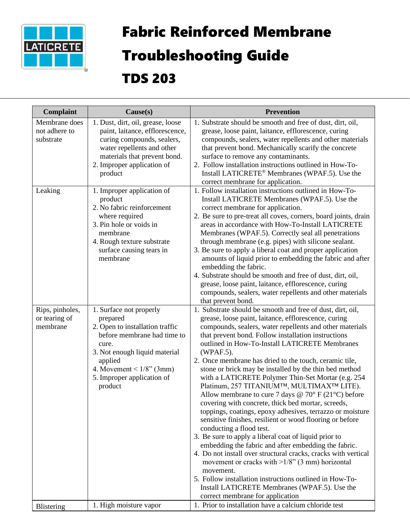

## Fabric Reinforced Membrane

## Troubleshooting Guide

## TDS 203

| Complaint                                    | Cause(s)                                                                                                                                                                                                                           | <b>Prevention</b>                                                                                                                                                                                                                                                                                                                                                                                                                                                                                                                                                                                                                                                                                                                                                                                                                                                                                                                                                                                                                                                                                                                                                                                     |
|----------------------------------------------|------------------------------------------------------------------------------------------------------------------------------------------------------------------------------------------------------------------------------------|-------------------------------------------------------------------------------------------------------------------------------------------------------------------------------------------------------------------------------------------------------------------------------------------------------------------------------------------------------------------------------------------------------------------------------------------------------------------------------------------------------------------------------------------------------------------------------------------------------------------------------------------------------------------------------------------------------------------------------------------------------------------------------------------------------------------------------------------------------------------------------------------------------------------------------------------------------------------------------------------------------------------------------------------------------------------------------------------------------------------------------------------------------------------------------------------------------|
| Membrane does<br>not adhere to<br>substrate  | 1. Dust, dirt, oil, grease, loose<br>paint, laitance, efflorescence,<br>curing compounds, sealers,<br>water repellents and other<br>materials that prevent bond.<br>2. Improper application of<br>product                          | 1. Substrate should be smooth and free of dust, dirt, oil,<br>grease, loose paint, laitance, efflorescence, curing<br>compounds, sealers, water repellents and other materials<br>that prevent bond. Mechanically scarify the concrete<br>surface to remove any contaminants.<br>2. Follow installation instructions outlined in How-To-<br>Install LATICRETE® Membranes (WPAF.5). Use the<br>correct membrane for application.                                                                                                                                                                                                                                                                                                                                                                                                                                                                                                                                                                                                                                                                                                                                                                       |
| Leaking                                      | 1. Improper application of<br>product<br>2. No fabric reinforcement<br>where required<br>3. Pin hole or voids in<br>membrane<br>4. Rough texture substrate<br>surface causing tears in<br>membrane                                 | 1. Follow installation instructions outlined in How-To-<br>Install LATICRETE Membranes (WPAF.5). Use the<br>correct membrane for application.<br>2. Be sure to pre-treat all coves, corners, board joints, drain<br>areas in accordance with How-To-Install LATICRETE<br>Membranes (WPAF.5). Correctly seal all penetrations<br>through membrane (e.g. pipes) with silicone sealant.<br>3. Be sure to apply a liberal coat and proper application<br>amounts of liquid prior to embedding the fabric and after<br>embedding the fabric.<br>4. Substrate should be smooth and free of dust, dirt, oil,<br>grease, loose paint, laitance, efflorescence, curing<br>compounds, sealers, water repellents and other materials<br>that prevent bond.                                                                                                                                                                                                                                                                                                                                                                                                                                                       |
| Rips, pinholes,<br>or tearing of<br>membrane | 1. Surface not properly<br>prepared<br>2. Open to installation traffic<br>before membrane had time to<br>cure.<br>3. Not enough liquid material<br>applied<br>4. Movement < $1/8$ " (3mm)<br>5. Improper application of<br>product | 1. Substrate should be smooth and free of dust, dirt, oil,<br>grease, loose paint, laitance, efflorescence, curing<br>compounds, sealers, water repellents and other materials<br>that prevent bond. Follow installation instructions<br>outlined in How-To-Install LATICRETE Membranes<br>(WPAF.5).<br>2. Once membrane has dried to the touch, ceramic tile,<br>stone or brick may be installed by the thin bed method<br>with a LATICRETE Polymer Thin-Set Mortar (e.g. 254<br>Platinum, 257 TITANIUMTM, MULTIMAXTM LITE).<br>Allow membrane to cure 7 days @ 70° F (21°C) before<br>covering with concrete, thick bed mortar, screeds,<br>toppings, coatings, epoxy adhesives, terrazzo or moisture<br>sensitive finishes, resilient or wood flooring or before<br>conducting a flood test.<br>3. Be sure to apply a liberal coat of liquid prior to<br>embedding the fabric and after embedding the fabric.<br>4. Do not install over structural cracks, cracks with vertical<br>movement or cracks with $>1/8$ " (3 mm) horizontal<br>movement.<br>5. Follow installation instructions outlined in How-To-<br>Install LATICRETE Membranes (WPAF.5). Use the<br>correct membrane for application |
| Blistering                                   | 1. High moisture vapor                                                                                                                                                                                                             | 1. Prior to installation have a calcium chloride test                                                                                                                                                                                                                                                                                                                                                                                                                                                                                                                                                                                                                                                                                                                                                                                                                                                                                                                                                                                                                                                                                                                                                 |